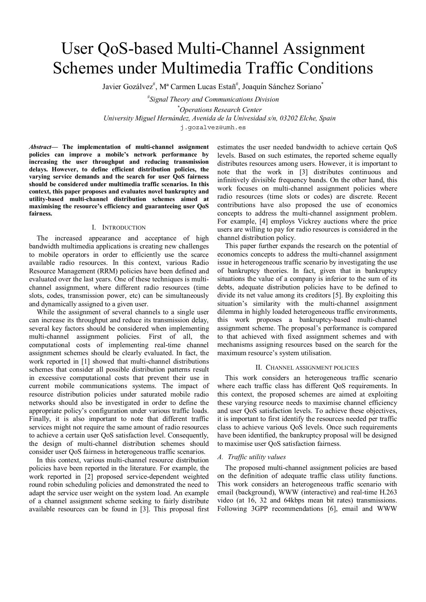# User QoS-based Multi-Channel Assignment Schemes under Multimedia Traffic Conditions

Javier Gozálvez<sup>#</sup>, Mª Carmen Lucas Estañ<sup>#</sup>, Joaquín Sánchez Soriano<sup>\*</sup>

*# Signal Theory and Communications Division \* Operations Research Center University Miguel Hernández, Avenida de la Univesidad s/n, 03202 Elche, Spain*  j.gozalvez@umh.es

*Abstract***— The implementation of multi-channel assignment policies can improve a mobile's network performance by increasing the user throughput and reducing transmission delays. However, to define efficient distribution policies, the varying service demands and the search for user QoS fairness should be considered under multimedia traffic scenarios. In this context, this paper proposes and evaluates novel bankruptcy and utility-based multi-channel distribution schemes aimed at maximising the resource's efficiency and guaranteeing user QoS fairness.** 

### I. INTRODUCTION

The increased appearance and acceptance of high bandwidth multimedia applications is creating new challenges to mobile operators in order to efficiently use the scarce available radio resources. In this context, various Radio Resource Management (RRM) policies have been defined and evaluated over the last years. One of these techniques is multichannel assignment, where different radio resources (time slots, codes, transmission power, etc) can be simultaneously and dynamically assigned to a given user.

While the assignment of several channels to a single user can increase its throughput and reduce its transmission delay, several key factors should be considered when implementing multi-channel assignment policies. First of all, the computational costs of implementing real-time channel assignment schemes should be clearly evaluated. In fact, the work reported in [1] showed that multi-channel distributions schemes that consider all possible distribution patterns result in excessive computational costs that prevent their use in current mobile communications systems. The impact of resource distribution policies under saturated mobile radio networks should also be investigated in order to define the appropriate policy's configuration under various traffic loads. Finally, it is also important to note that different traffic services might not require the same amount of radio resources to achieve a certain user QoS satisfaction level. Consequently, the design of multi-channel distribution schemes should consider user QoS fairness in heterogeneous traffic scenarios.

In this context, various multi-channel resource distribution policies have been reported in the literature. For example, the work reported in [2] proposed service-dependent weighted round robin scheduling policies and demonstrated the need to adapt the service user weight on the system load. An example of a channel assignment scheme seeking to fairly distribute available resources can be found in [3]. This proposal first

estimates the user needed bandwidth to achieve certain QoS levels. Based on such estimates, the reported scheme equally distributes resources among users. However, it is important to note that the work in [3] distributes continuous and infinitively divisible frequency bands. On the other hand, this work focuses on multi-channel assignment policies where radio resources (time slots or codes) are discrete. Recent contributions have also proposed the use of economics concepts to address the multi-channel assignment problem. For example, [4] employs Vickrey auctions where the price users are willing to pay for radio resources is considered in the channel distribution policy.

This paper further expands the research on the potential of economics concepts to address the multi-channel assignment issue in heterogeneous traffic scenario by investigating the use of bankruptcy theories. In fact, given that in bankruptcy situations the value of a company is inferior to the sum of its debts, adequate distribution policies have to be defined to divide its net value among its creditors [5]. By exploiting this situation's similarity with the multi-channel assignment dilemma in highly loaded heterogeneous traffic environments, this work proposes a bankruptcy-based multi-channel assignment scheme. The proposal's performance is compared to that achieved with fixed assignment schemes and with mechanisms assigning resources based on the search for the maximum resource's system utilisation.

### II. CHANNEL ASSIGNMENT POLICIES

This work considers an heterogeneous traffic scenario where each traffic class has different QoS requirements. In this context, the proposed schemes are aimed at exploiting these varying resource needs to maximise channel efficiency and user QoS satisfaction levels. To achieve these objectives, it is important to first identify the resources needed per traffic class to achieve various QoS levels. Once such requirements have been identified, the bankruptcy proposal will be designed to maximise user QoS satisfaction fairness.

# *A. Traffic utility values*

The proposed multi-channel assignment policies are based on the definition of adequate traffic class utility functions. This work considers an heterogeneous traffic scenario with email (background), WWW (interactive) and real-time H.263 video (at 16, 32 and 64kbps mean bit rates) transmissions. Following 3GPP recommendations [6], email and WWW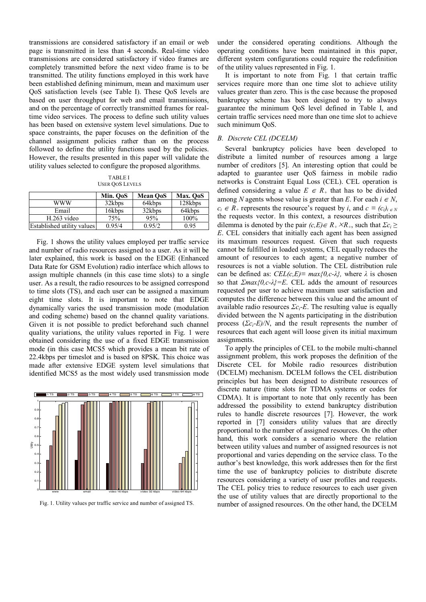transmissions are considered satisfactory if an email or web page is transmitted in less than 4 seconds. Real-time video transmissions are considered satisfactory if video frames are completely transmitted before the next video frame is to be transmitted. The utility functions employed in this work have been established defining minimum, mean and maximum user QoS satisfaction levels (see Table I). These QoS levels are based on user throughput for web and email transmissions, and on the percentage of correctly transmitted frames for realtime video services. The process to define such utility values has been based on extensive system level simulations. Due to space constraints, the paper focuses on the definition of the channel assignment policies rather than on the process followed to define the utility functions used by the policies. However, the results presented in this paper will validate the utility values selected to configure the proposed algorithms.

| TABLEI          |
|-----------------|
| USER OOS LEVELS |

|                            | Min. OoS | <b>Mean QoS</b> | Max. OoS |
|----------------------------|----------|-----------------|----------|
| www                        | 32kbps   | 64kbps          | 128kbps  |
| Email                      | 16kbps   | 32kbps          | 64kbps   |
| $H.263$ video              | 75%      | 95%             | 100%     |
| Established utility values | 0.95/4   | 0.95/2          | 0.95     |

Fig. 1 shows the utility values employed per traffic service and number of radio resources assigned to a user. As it will be later explained, this work is based on the EDGE (Enhanced Data Rate for GSM Evolution) radio interface which allows to assign multiple channels (in this case time slots) to a single user. As a result, the radio resources to be assigned correspond to time slots (TS), and each user can be assigned a maximum eight time slots. It is important to note that EDGE dynamically varies the used transmission mode (modulation and coding scheme) based on the channel quality variations. Given it is not possible to predict beforehand such channel quality variations, the utility values reported in Fig. 1 were obtained considering the use of a fixed EDGE transmission mode (in this case MCS5 which provides a mean bit rate of 22.4kbps per timeslot and is based on 8PSK. This choice was made after extensive EDGE system level simulations that identified MCS5 as the most widely used transmission mode



Fig. 1. Utility values per traffic service and number of assigned TS.

under the considered operating conditions. Although the operating conditions have been maintained in this paper, different system configurations could require the redefinition of the utility values represented in Fig. 1.

It is important to note from Fig. 1 that certain traffic services require more than one time slot to achieve utility values greater than zero. This is the case because the proposed bankruptcy scheme has been designed to try to always guarantee the minimum QoS level defined in Table I, and certain traffic services need more than one time slot to achieve such minimum QoS.

# *B. Discrete CEL (DCELM)*

Several bankruptcy policies have been developed to distribute a limited number of resources among a large number of creditors [5]. An interesting option that could be adapted to guarantee user QoS fairness in mobile radio networks is Constraint Equal Loss (CEL). CEL operation is defined considering a value  $E \in R_+$  that has to be divided among *N* agents whose value is greater than *E*. For each  $i \in N$ ,  $c_i \in R_+$  represents the resource's request by *i*, and  $c \equiv (c_i)_{i \in N}$ the requests vector. In this context, a resources distribution dilemma is denoted by the pair  $(c, E) \in R_+ \times R_+$ , such that  $\Sigma c_i \ge$ *E*. CEL considers that initially each agent has been assigned its maximum resources request. Given that such requests cannot be fulfilled in loaded systems, CEL equally reduces the amount of resources to each agent; a negative number of resources is not a viable solution. The CEL distribution rule can be defined as:  $CEL(c, E) \equiv max\{0, c - \lambda\}$ , where  $\lambda$  is chosen so that *Σmax{0,c-λ}=E*. CEL adds the amount of resources requested per user to achieve maximum user satisfaction and computes the difference between this value and the amount of available radio resources  $\Sigma c_i$ -E. The resulting value is equally divided between the N agents participating in the distribution process  $(\Sigma c_i - E)/N$ , and the result represents the number of resources that each agent will loose given its initial maximum assignments.

To apply the principles of CEL to the mobile multi-channel assignment problem, this work proposes the definition of the Discrete CEL for Mobile radio resources distribution (DCELM) mechanism. DCELM follows the CEL distribution principles but has been designed to distribute resources of discrete nature (time slots for TDMA systems or codes for CDMA). It is important to note that only recently has been addressed the possibility to extend bankruptcy distribution rules to handle discrete resources [7]. However, the work reported in [7] considers utility values that are directly proportional to the number of assigned resources. On the other hand, this work considers a scenario where the relation between utility values and number of assigned resources is not proportional and varies depending on the service class. To the author's best knowledge, this work addresses then for the first time the use of bankruptcy policies to distribute discrete resources considering a variety of user profiles and requests. The CEL policy tries to reduce resources to each user given the use of utility values that are directly proportional to the number of assigned resources. On the other hand, the DCELM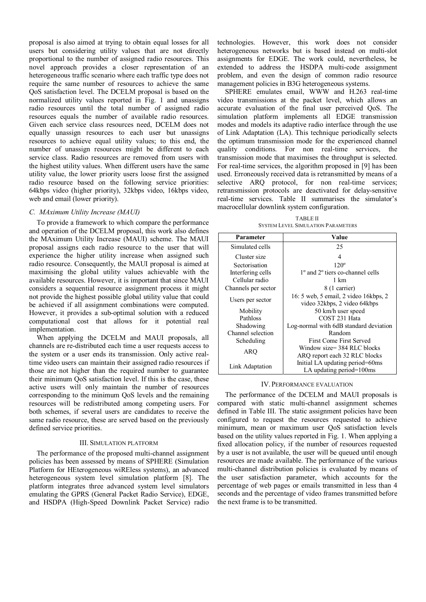proposal is also aimed at trying to obtain equal losses for all users but considering utility values that are not directly proportional to the number of assigned radio resources. This novel approach provides a closer representation of an heterogeneous traffic scenario where each traffic type does not require the same number of resources to achieve the same QoS satisfaction level. The DCELM proposal is based on the normalized utility values reported in Fig. 1 and unassigns radio resources until the total number of assigned radio resources equals the number of available radio resources. Given each service class resources need, DCELM does not equally unassign resources to each user but unassigns resources to achieve equal utility values; to this end, the number of unassign resources might be different to each service class. Radio resources are removed from users with the highest utility values. When different users have the same utility value, the lower priority users loose first the assigned radio resource based on the following service priorities: 64kbps video (higher priority), 32kbps video, 16kbps video, web and email (lower priority).

# *C. MAximum Utility Increase (MAUI)*

To provide a framework to which compare the performance and operation of the DCELM proposal, this work also defines the MAximum Utility Increase (MAUI) scheme. The MAUI proposal assigns each radio resource to the user that will experience the higher utility increase when assigned such radio resource. Consequently, the MAUI proposal is aimed at maximising the global utility values achievable with the available resources. However, it is important that since MAUI considers a sequential resource assignment process it might not provide the highest possible global utility value that could be achieved if all assignment combinations were computed. However, it provides a sub-optimal solution with a reduced computational cost that allows for it potential real implementation.

When applying the DCELM and MAUI proposals, all channels are re-distributed each time a user requests access to the system or a user ends its transmission. Only active realtime video users can maintain their assigned radio resources if those are not higher than the required number to guarantee their minimum QoS satisfaction level. If this is the case, these active users will only maintain the number of resources corresponding to the minimum QoS levels and the remaining resources will be redistributed among competing users. For both schemes, if several users are candidates to receive the same radio resource, these are served based on the previously defined service priorities.

# III. SIMULATION PLATFORM

The performance of the proposed multi-channel assignment policies has been assessed by means of SPHERE (Simulation Platform for HEterogeneous wiREless systems), an advanced heterogeneous system level simulation platform [8]. The platform integrates three advanced system level simulators emulating the GPRS (General Packet Radio Service), EDGE, and HSDPA (High-Speed Downlink Packet Service) radio

technologies. However, this work does not consider heterogeneous networks but is based instead on multi-slot assignments for EDGE. The work could, nevertheless, be extended to address the HSDPA multi-code assignment problem, and even the design of common radio resource management policies in B3G heterogeneous systems.

SPHERE emulates email, WWW and H.263 real-time video transmissions at the packet level, which allows an accurate evaluation of the final user perceived QoS. The simulation platform implements all EDGE transmission modes and models its adaptive radio interface through the use of Link Adaptation (LA). This technique periodically selects the optimum transmission mode for the experienced channel quality conditions. For non real-time services, the transmission mode that maximises the throughput is selected. For real-time services, the algorithm proposed in [9] has been used. Erroneously received data is retransmitted by means of a selective ARQ protocol, for non real-time services; retransmission protocols are deactivated for delay-sensitive real-time services. Table II summarises the simulator's macrocellular downlink system configuration.

TABLE II SYSTEM LEVEL SIMULATION PARAMETERS

| Parameter           | Value                                                                 |
|---------------------|-----------------------------------------------------------------------|
| Simulated cells     | 25                                                                    |
| Cluster size        | 4                                                                     |
| Sectorisation       | $120^{\circ}$                                                         |
| Interfering cells   | 1 <sup>o</sup> and 2 <sup>o</sup> tiers co-channel cells              |
| Cellular radio      | 1 km                                                                  |
| Channels per sector | 8 (1 carrier)                                                         |
| Users per sector    | 16: 5 web, 5 email, 2 video 16kbps, 2<br>video 32kbps, 2 video 64kbps |
| Mobility            | 50 km/h user speed                                                    |
| Pathloss            | COST 231 Hata                                                         |
| Shadowing           | Log-normal with 6dB standard deviation                                |
| Channel selection   | Random                                                                |
| Scheduling          | <b>First Come First Served</b>                                        |
| ARO                 | Window size= 384 RLC blocks                                           |
|                     | ARQ report each 32 RLC blocks                                         |
| Link Adaptation     | Initial LA updating period=60ms                                       |
|                     | LA updating period=100ms                                              |

### IV.PERFORMANCE EVALUATION

The performance of the DCELM and MAUI proposals is compared with static multi-channel assignment schemes defined in Table III. The static assignment policies have been configured to request the resources requested to achieve minimum, mean or maximum user QoS satisfaction levels based on the utility values reported in Fig. 1. When applying a fixed allocation policy, if the number of resources requested by a user is not available, the user will be queued until enough resources are made available. The performance of the various multi-channel distribution policies is evaluated by means of the user satisfaction parameter, which accounts for the percentage of web pages or emails transmitted in less than 4 seconds and the percentage of video frames transmitted before the next frame is to be transmitted.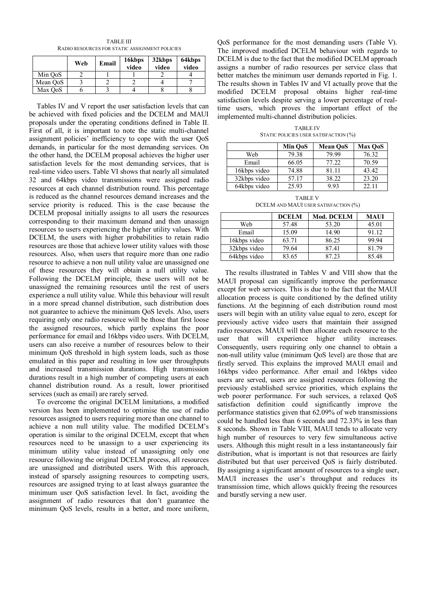TABLE III RADIO RESOURCES FOR STATIC ASSIGNMENT POLICIES

|          | Web | Email | 16kbps<br>video | 32kbps<br>video | 64kbps<br>video |
|----------|-----|-------|-----------------|-----------------|-----------------|
| Min OoS  |     |       |                 |                 |                 |
| Mean OoS |     |       |                 |                 |                 |
| Max OoS  |     |       |                 |                 |                 |

Tables IV and V report the user satisfaction levels that can be achieved with fixed policies and the DCELM and MAUI proposals under the operating conditions defined in Table II. First of all, it is important to note the static multi-channel assignment policies' inefficiency to cope with the user QoS demands, in particular for the most demanding services. On the other hand, the DCELM proposal achieves the higher user satisfaction levels for the most demanding services, that is real-time video users. Table VI shows that nearly all simulated 32 and 64kbps video transmissions were assigned radio resources at each channel distribution round. This percentage is reduced as the channel resources demand increases and the service priority is reduced. This is the case because the DCELM proposal initially assigns to all users the resources corresponding to their maximum demand and then unassign resources to users experiencing the higher utility values. With DCELM, the users with higher probabilities to retain radio resources are those that achieve lower utility values with those resources. Also, when users that require more than one radio resource to achieve a non null utility value are unassigned one of these resources they will obtain a null utility value. Following the DCELM principle, these users will not be unassigned the remaining resources until the rest of users experience a null utility value. While this behaviour will result in a more spread channel distribution, such distribution does not guarantee to achieve the minimum QoS levels. Also, users requiring only one radio resource will be those that first loose the assigned resources, which partly explains the poor performance for email and 16kbps video users. With DCELM, users can also receive a number of resources below to their minimum QoS threshold in high system loads, such as those emulated in this paper and resulting in low user throughputs and increased transmission durations. High transmission durations result in a high number of competing users at each channel distribution round. As a result, lower prioritised services (such as email) are rarely served.

To overcome the original DCELM limitations, a modified version has been implemented to optimise the use of radio resources assigned to users requiring more than one channel to achieve a non null utility value. The modified DCELM's operation is similar to the original DCELM, except that when resources need to be unassign to a user experiencing its minimum utility value instead of unassigning only one resource following the original DCELM process, all resources are unassigned and distributed users. With this approach, instead of sparsely assigning resources to competing users, resources are assigned trying to at least always guarantee the minimum user QoS satisfaction level. In fact, avoiding the assignment of radio resources that don't guarantee the minimum QoS levels, results in a better, and more uniform, QoS performance for the most demanding users (Table V). The improved modified DCELM behaviour with regards to DCELM is due to the fact that the modified DCELM approach assigns a number of radio resources per service class that better matches the minimum user demands reported in Fig. 1. The results shown in Tables IV and VI actually prove that the modified DCELM proposal obtains higher real-time satisfaction levels despite serving a lower percentage of realtime users, which proves the important effect of the implemented multi-channel distribution policies.

TABLE IV STATIC POLICIES USER SATISFACTION (%)

|              | Min OoS | <b>Mean QoS</b> | Max OoS |
|--------------|---------|-----------------|---------|
| Web          | 79.38   | 79.99           | 76.32   |
| Email        | 66.05   | 77.22           | 70.59   |
| 16kbps video | 74.88   | 81.11           | 43.42   |
| 32kbps video | 57.17   | 38.22           | 23.20   |
| 64kbps video | 25.93   | 993             | 22.11   |

TABLE V DCELM AND MAUI USER SATISFACTION (%)

|              | <b>DCELM</b> | Mod. DCELM | <b>MAUI</b> |
|--------------|--------------|------------|-------------|
| Web          | 57.48        | 53.20      | 45.01       |
| Email        | 15.09        | 14.90      | 91.12       |
| 16kbps video | 63.71        | 86.25      | 99.94       |
| 32kbps video | 79.64        | 87.41      | 81.79       |
| 64kbps video | 83.65        | 87.23      | 85.48       |

The results illustrated in Tables V and VIII show that the MAUI proposal can significantly improve the performance except for web services. This is due to the fact that the MAUI allocation process is quite conditioned by the defined utility functions. At the beginning of each distribution round most users will begin with an utility value equal to zero, except for previously active video users that maintain their assigned radio resources. MAUI will then allocate each resource to the user that will experience higher utility increases. Consequently, users requiring only one channel to obtain a non-null utility value (minimum QoS level) are those that are firstly served. This explains the improved MAUI email and 16kbps video performance. After email and 16kbps video users are served, users are assigned resources following the previously established service priorities, which explains the web poorer performance. For such services, a relaxed QoS satisfaction definition could significantly improve the performance statistics given that 62.09% of web transmissions could be handled less than 6 seconds and 72.33% in less than 8 seconds. Shown in Table VIII, MAUI tends to allocate very high number of resources to very few simultaneous active users. Although this might result in a less instantaneously fair distribution, what is important is not that resources are fairly distributed but that user perceived QoS is fairly distributed. By assigning a significant amount of resources to a single user, MAUI increases the user's throughput and reduces its transmission time, which allows quickly freeing the resources and burstly serving a new user.